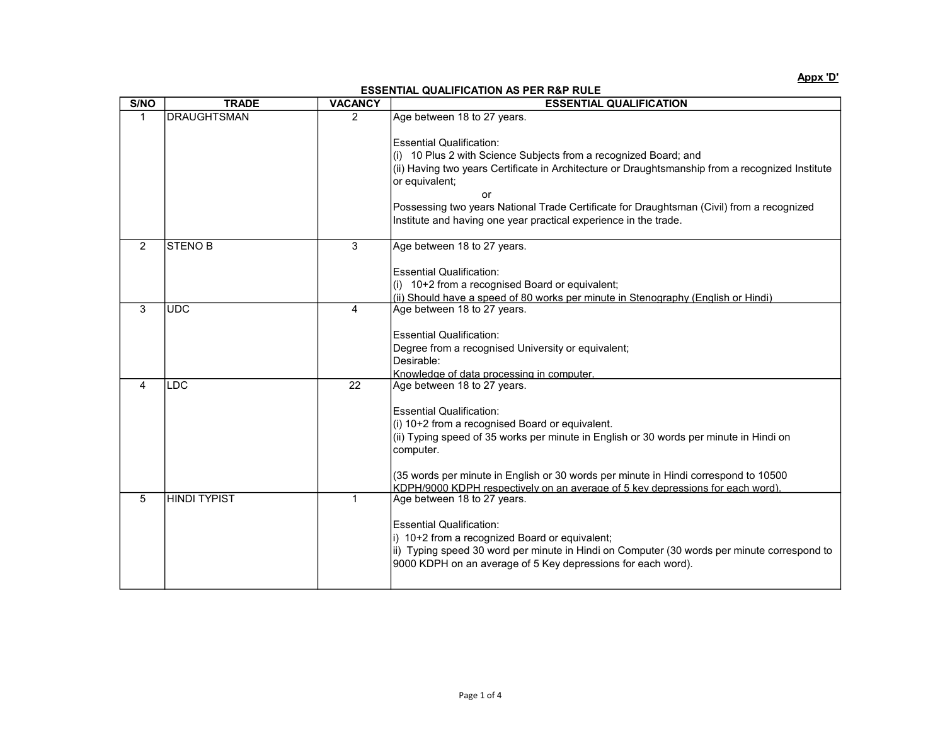Appx 'D'

## ESSENTIAL QUALIFICATION AS PER R&P RULE

| S/NO         | <b>TRADE</b>        | <b>VACANCY</b> | <b>ESSENTIAL QUALIFICATION</b>                                                                                                                                                                                                                                                                                                                                                                   |
|--------------|---------------------|----------------|--------------------------------------------------------------------------------------------------------------------------------------------------------------------------------------------------------------------------------------------------------------------------------------------------------------------------------------------------------------------------------------------------|
| $\mathbf{1}$ | <b>DRAUGHTSMAN</b>  | 2              | Age between 18 to 27 years.                                                                                                                                                                                                                                                                                                                                                                      |
|              |                     |                | <b>Essential Qualification:</b><br>(i) 10 Plus 2 with Science Subjects from a recognized Board; and<br>(ii) Having two years Certificate in Architecture or Draughtsmanship from a recognized Institute<br>or equivalent;<br>or<br>Possessing two years National Trade Certificate for Draughtsman (Civil) from a recognized<br>Institute and having one year practical experience in the trade. |
| 2            | <b>STENOB</b>       | 3              | Age between 18 to 27 years.                                                                                                                                                                                                                                                                                                                                                                      |
|              |                     |                | <b>Essential Qualification:</b><br>$(i)$ 10+2 from a recognised Board or equivalent;<br>(ii) Should have a speed of 80 works per minute in Stenography (English or Hindi)                                                                                                                                                                                                                        |
| 3            | <b>UDC</b>          | 4              | Age between 18 to 27 years.                                                                                                                                                                                                                                                                                                                                                                      |
|              |                     |                | <b>Essential Qualification:</b><br>Degree from a recognised University or equivalent;<br>Desirable:<br>Knowledge of data processing in computer.                                                                                                                                                                                                                                                 |
| 4            | <b>LDC</b>          | 22             | Age between 18 to 27 years.                                                                                                                                                                                                                                                                                                                                                                      |
|              |                     |                | <b>Essential Qualification:</b><br>(i) 10+2 from a recognised Board or equivalent.<br>(ii) Typing speed of 35 works per minute in English or 30 words per minute in Hindi on<br>computer.<br>(35 words per minute in English or 30 words per minute in Hindi correspond to 10500<br>KDPH/9000 KDPH respectively on an average of 5 key depressions for each word)                                |
| 5            | <b>HINDI TYPIST</b> | $\mathbf{1}$   | Age between 18 to 27 years.<br><b>Essential Qualification:</b><br>i) 10+2 from a recognized Board or equivalent;<br>ii) Typing speed 30 word per minute in Hindi on Computer (30 words per minute correspond to<br>9000 KDPH on an average of 5 Key depressions for each word).                                                                                                                  |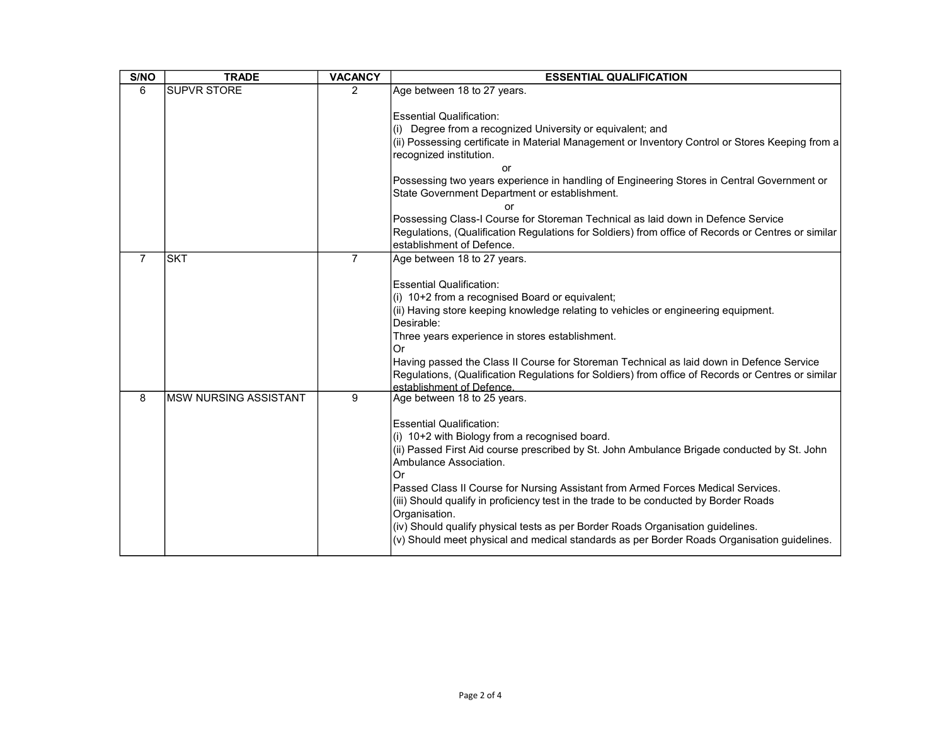| S/NO           | <b>TRADE</b>                 | <b>VACANCY</b> | <b>ESSENTIAL QUALIFICATION</b>                                                                                                                                                                                                                                                                                                                                                                                                                                                                                                                                                                                                  |
|----------------|------------------------------|----------------|---------------------------------------------------------------------------------------------------------------------------------------------------------------------------------------------------------------------------------------------------------------------------------------------------------------------------------------------------------------------------------------------------------------------------------------------------------------------------------------------------------------------------------------------------------------------------------------------------------------------------------|
| 6              | <b>SUPVR STORE</b>           | $\overline{2}$ | Age between 18 to 27 years.                                                                                                                                                                                                                                                                                                                                                                                                                                                                                                                                                                                                     |
|                |                              |                | <b>Essential Qualification:</b><br>(i) Degree from a recognized University or equivalent; and<br>(ii) Possessing certificate in Material Management or Inventory Control or Stores Keeping from a<br>recognized institution.<br>or<br>Possessing two years experience in handling of Engineering Stores in Central Government or<br>State Government Department or establishment.                                                                                                                                                                                                                                               |
|                |                              |                | Possessing Class-I Course for Storeman Technical as laid down in Defence Service<br>Regulations, (Qualification Regulations for Soldiers) from office of Records or Centres or similar<br>establishment of Defence.                                                                                                                                                                                                                                                                                                                                                                                                             |
| $\overline{7}$ | <b>SKT</b>                   | $\overline{7}$ | Age between 18 to 27 years.<br><b>Essential Qualification:</b><br>(i) 10+2 from a recognised Board or equivalent;<br>(ii) Having store keeping knowledge relating to vehicles or engineering equipment.<br>Desirable:<br>Three years experience in stores establishment.<br>Or<br>Having passed the Class II Course for Storeman Technical as laid down in Defence Service<br>Regulations, (Qualification Regulations for Soldiers) from office of Records or Centres or similar<br>establishment of Defence.                                                                                                                   |
| 8              | <b>MSW NURSING ASSISTANT</b> | 9              | Age between 18 to 25 years.<br><b>Essential Qualification:</b><br>(i) 10+2 with Biology from a recognised board.<br>(ii) Passed First Aid course prescribed by St. John Ambulance Brigade conducted by St. John<br>Ambulance Association.<br>Or<br>Passed Class II Course for Nursing Assistant from Armed Forces Medical Services.<br>(iii) Should qualify in proficiency test in the trade to be conducted by Border Roads<br>Organisation.<br>(iv) Should qualify physical tests as per Border Roads Organisation guidelines.<br>(v) Should meet physical and medical standards as per Border Roads Organisation guidelines. |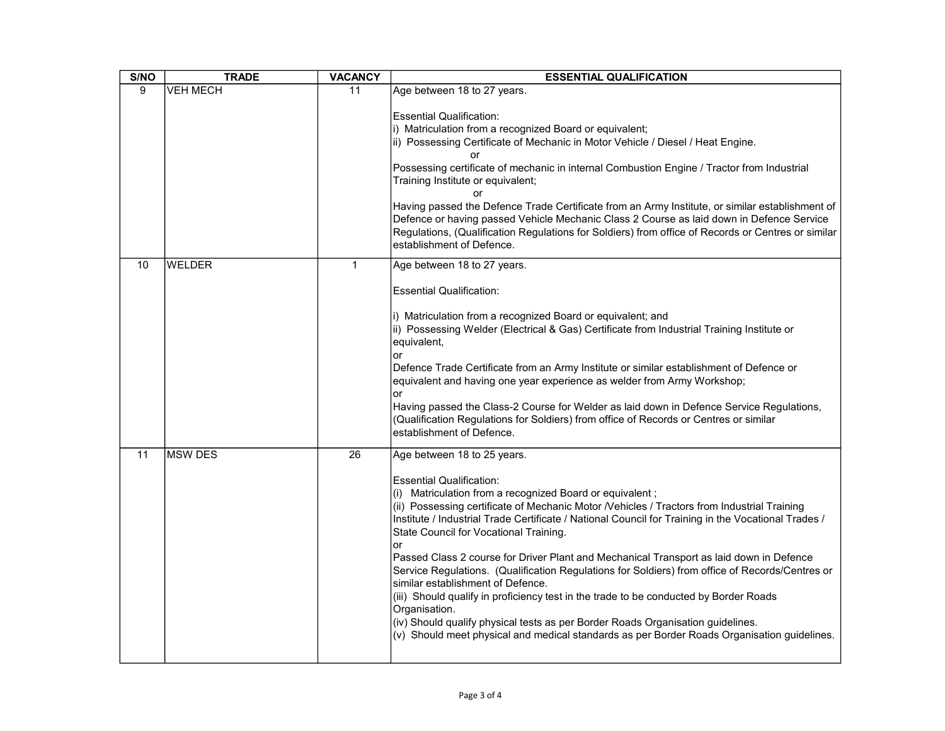| S/NO            | <b>TRADE</b>    | <b>VACANCY</b> | <b>ESSENTIAL QUALIFICATION</b>                                                                                                                                                                                                                                                                                                                                                                                                                                                                                                                                                                                                                                                                                                                                                                                                                                                                                   |
|-----------------|-----------------|----------------|------------------------------------------------------------------------------------------------------------------------------------------------------------------------------------------------------------------------------------------------------------------------------------------------------------------------------------------------------------------------------------------------------------------------------------------------------------------------------------------------------------------------------------------------------------------------------------------------------------------------------------------------------------------------------------------------------------------------------------------------------------------------------------------------------------------------------------------------------------------------------------------------------------------|
| 9               | <b>VEH MECH</b> | 11             | Age between 18 to 27 years.                                                                                                                                                                                                                                                                                                                                                                                                                                                                                                                                                                                                                                                                                                                                                                                                                                                                                      |
|                 |                 |                | <b>Essential Qualification:</b><br>i) Matriculation from a recognized Board or equivalent;<br>ii) Possessing Certificate of Mechanic in Motor Vehicle / Diesel / Heat Engine.<br>or<br>Possessing certificate of mechanic in internal Combustion Engine / Tractor from Industrial<br>Training Institute or equivalent;<br>or<br>Having passed the Defence Trade Certificate from an Army Institute, or similar establishment of<br>Defence or having passed Vehicle Mechanic Class 2 Course as laid down in Defence Service<br>Regulations, (Qualification Regulations for Soldiers) from office of Records or Centres or similar<br>establishment of Defence.                                                                                                                                                                                                                                                   |
| 10              | <b>WELDER</b>   | 1              | Age between 18 to 27 years.                                                                                                                                                                                                                                                                                                                                                                                                                                                                                                                                                                                                                                                                                                                                                                                                                                                                                      |
|                 |                 |                | <b>Essential Qualification:</b>                                                                                                                                                                                                                                                                                                                                                                                                                                                                                                                                                                                                                                                                                                                                                                                                                                                                                  |
|                 |                 |                | i) Matriculation from a recognized Board or equivalent; and<br>ii) Possessing Welder (Electrical & Gas) Certificate from Industrial Training Institute or<br>equivalent,<br>lor<br>Defence Trade Certificate from an Army Institute or similar establishment of Defence or<br>equivalent and having one year experience as welder from Army Workshop;<br>or<br>Having passed the Class-2 Course for Welder as laid down in Defence Service Regulations,<br>(Qualification Regulations for Soldiers) from office of Records or Centres or similar<br>establishment of Defence.                                                                                                                                                                                                                                                                                                                                    |
| $\overline{11}$ | <b>MSW DES</b>  | 26             | Age between 18 to 25 years.<br><b>Essential Qualification:</b><br>(i) Matriculation from a recognized Board or equivalent;<br>(ii) Possessing certificate of Mechanic Motor /Vehicles / Tractors from Industrial Training<br>Institute / Industrial Trade Certificate / National Council for Training in the Vocational Trades /<br>State Council for Vocational Training.<br>lor<br>Passed Class 2 course for Driver Plant and Mechanical Transport as laid down in Defence<br>Service Regulations. (Qualification Regulations for Soldiers) from office of Records/Centres or<br>similar establishment of Defence.<br>(iii) Should qualify in proficiency test in the trade to be conducted by Border Roads<br>Organisation.<br>(iv) Should qualify physical tests as per Border Roads Organisation guidelines.<br>(v) Should meet physical and medical standards as per Border Roads Organisation guidelines. |